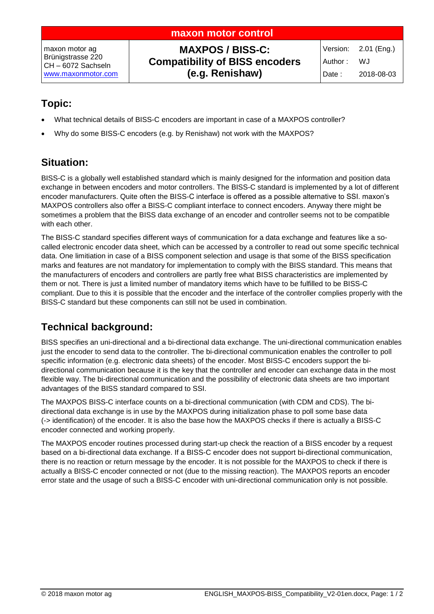| maxon motor control                                                           |                                                                                     |                  |                                          |
|-------------------------------------------------------------------------------|-------------------------------------------------------------------------------------|------------------|------------------------------------------|
| maxon motor ag<br>Brünigstrasse 220<br>CH-6072 Sachseln<br>www.maxonmotor.com | <b>MAXPOS / BISS-C:</b><br><b>Compatibility of BISS encoders</b><br>(e.g. Renishaw) | Author:<br>Date: | Version: 2.01 (Eng.)<br>WJ<br>2018-08-03 |

## **Topic:**

- What technical details of BISS-C encoders are important in case of a MAXPOS controller?
- Why do some BISS-C encoders (e.g. by Renishaw) not work with the MAXPOS?

## **Situation:**

BISS-C is a globally well established standard which is mainly designed for the information and position data exchange in between encoders and motor controllers. The BISS-C standard is implemented by a lot of different encoder manufacturers. Quite often the BISS-C interface is offered as a possible alternative to SSI. maxon's MAXPOS controllers also offer a BISS-C compliant interface to connect encoders. Anyway there might be sometimes a problem that the BISS data exchange of an encoder and controller seems not to be compatible with each other.

The BISS-C standard specifies different ways of communication for a data exchange and features like a socalled electronic encoder data sheet, which can be accessed by a controller to read out some specific technical data. One limitiation in case of a BISS component selection and usage is that some of the BISS specification marks and features are not mandatory for implementation to comply with the BISS standard. This means that the manufacturers of encoders and controllers are partly free what BISS characteristics are implemented by them or not. There is just a limited number of mandatory items which have to be fulfilled to be BISS-C compliant. Due to this it is possible that the encoder and the interface of the controller complies properly with the BISS-C standard but these components can still not be used in combination.

# **Technical background:**

BISS specifies an uni-directional and a bi-directional data exchange. The uni-directional communication enables just the encoder to send data to the controller. The bi-directional communication enables the controller to poll specific information (e.g. electronic data sheets) of the encoder. Most BISS-C encoders support the bidirectional communication because it is the key that the controller and encoder can exchange data in the most flexible way. The bi-directional communication and the possibility of electronic data sheets are two important advantages of the BISS standard compared to SSI.

The MAXPOS BISS-C interface counts on a bi-directional communication (with CDM and CDS). The bidirectional data exchange is in use by the MAXPOS during initialization phase to poll some base data (-> identification) of the encoder. It is also the base how the MAXPOS checks if there is actually a BISS-C encoder connected and working properly.

The MAXPOS encoder routines processed during start-up check the reaction of a BISS encoder by a request based on a bi-directional data exchange. If a BISS-C encoder does not support bi-directional communication, there is no reaction or return message by the encoder. It is not possible for the MAXPOS to check if there is actually a BISS-C encoder connected or not (due to the missing reaction). The MAXPOS reports an encoder error state and the usage of such a BISS-C encoder with uni-directional communication only is not possible.